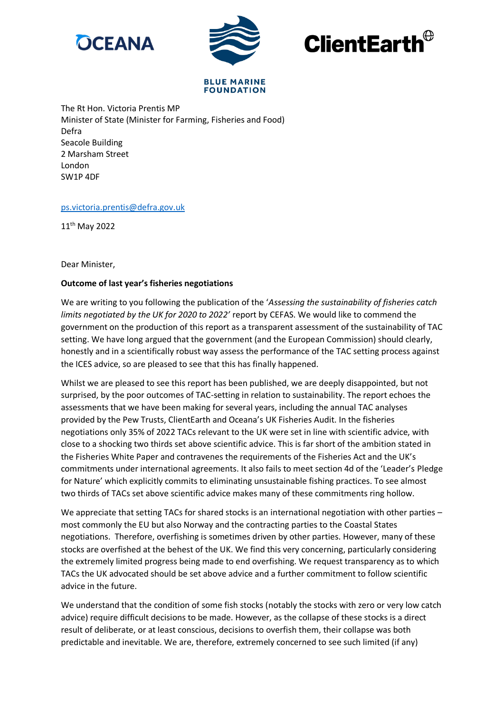





#### **BLUE MARINE FOUNDATION**

The Rt Hon. Victoria Prentis MP Minister of State (Minister for Farming, Fisheries and Food) Defra Seacole Building 2 Marsham Street London SW1P 4DF

# [ps.victoria.prentis@defra.gov.uk](mailto:ps.victoria.prentis@defra.gov.uk)

11th May 2022

### Dear Minister,

# **Outcome of last year's fisheries negotiations**

We are writing to you following the publication of the '*Assessing the sustainability of fisheries catch limits negotiated by the UK for 2020 to 2022'* report by CEFAS. We would like to commend the government on the production of this report as a transparent assessment of the sustainability of TAC setting. We have long argued that the government (and the European Commission) should clearly, honestly and in a scientifically robust way assess the performance of the TAC setting process against the ICES advice, so are pleased to see that this has finally happened.

Whilst we are pleased to see this report has been published, we are deeply disappointed, but not surprised, by the poor outcomes of TAC-setting in relation to sustainability. The report echoes the assessments that we have been making for several years, including the annual TAC analyses provided by the Pew Trusts, ClientEarth and Oceana's UK Fisheries Audit. In the fisheries negotiations only 35% of 2022 TACs relevant to the UK were set in line with scientific advice, with close to a shocking two thirds set above scientific advice. This is far short of the ambition stated in the Fisheries White Paper and contravenes the requirements of the Fisheries Act and the UK's commitments under international agreements. It also fails to meet section 4d of the 'Leader's Pledge for Nature' which explicitly commits to eliminating unsustainable fishing practices. To see almost two thirds of TACs set above scientific advice makes many of these commitments ring hollow.

We appreciate that setting TACs for shared stocks is an international negotiation with other parties – most commonly the EU but also Norway and the contracting parties to the Coastal States negotiations. Therefore, overfishing is sometimes driven by other parties. However, many of these stocks are overfished at the behest of the UK. We find this very concerning, particularly considering the extremely limited progress being made to end overfishing. We request transparency as to which TACs the UK advocated should be set above advice and a further commitment to follow scientific advice in the future.

We understand that the condition of some fish stocks (notably the stocks with zero or very low catch advice) require difficult decisions to be made. However, as the collapse of these stocks is a direct result of deliberate, or at least conscious, decisions to overfish them, their collapse was both predictable and inevitable. We are, therefore, extremely concerned to see such limited (if any)